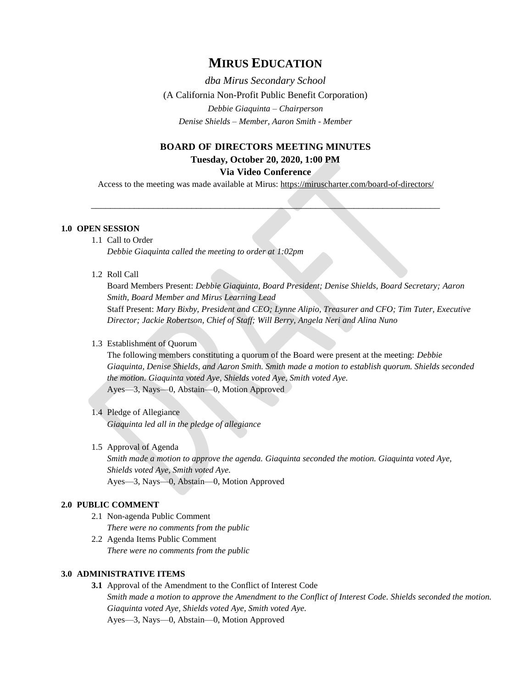# **MIRUS EDUCATION**

*dba Mirus Secondary School* (A California Non-Profit Public Benefit Corporation) *Debbie Giaquinta – Chairperson Denise Shields – Member, Aaron Smith - Member*

# **BOARD OF DIRECTORS MEETING MINUTES Tuesday, October 20, 2020, 1:00 PM**

# **Via Video Conference**

Access to the meeting was made available at Mirus:<https://miruscharter.com/board-of-directors/>

\_\_\_\_\_\_\_\_\_\_\_\_\_\_\_\_\_\_\_\_\_\_\_\_\_\_\_\_\_\_\_\_\_\_\_\_\_\_\_\_\_\_\_\_\_\_\_\_\_\_\_\_\_\_\_\_\_\_\_\_\_\_\_\_\_\_\_\_\_\_\_\_\_

### **1.0 OPEN SESSION**

1.1 Call to Order *Debbie Giaquinta called the meeting to order at 1:02pm*

#### 1.2 Roll Call

Board Members Present: *Debbie Giaquinta, Board President; Denise Shields, Board Secretary; Aaron Smith, Board Member and Mirus Learning Lead* Staff Present: *Mary Bixby, President and CEO; Lynne Alipio, Treasurer and CFO; Tim Tuter, Executive Director; Jackie Robertson, Chief of Staff; Will Berry, Angela Neri and Alina Nuno*

### 1.3 Establishment of Quorum

The following members constituting a quorum of the Board were present at the meeting: *Debbie Giaquinta, Denise Shields, and Aaron Smith. Smith made a motion to establish quorum. Shields seconded the motion. Giaquinta voted Aye, Shields voted Aye, Smith voted Aye.* Ayes—3, Nays—0, Abstain—0, Motion Approved

# 1.4 Pledge of Allegiance

*Giaquinta led all in the pledge of allegiance*

# 1.5 Approval of Agenda

*Smith made a motion to approve the agenda. Giaquinta seconded the motion. Giaquinta voted Aye, Shields voted Aye, Smith voted Aye.* Ayes—3, Nays—0, Abstain—0, Motion Approved

#### **2.0 PUBLIC COMMENT**

- 2.1 Non-agenda Public Comment *There were no comments from the public*
- 2.2 Agenda Items Public Comment *There were no comments from the public*

#### **3.0 ADMINISTRATIVE ITEMS**

**3.1** Approval of the Amendment to the Conflict of Interest Code *Smith made a motion to approve the Amendment to the Conflict of Interest Code. Shields seconded the motion. Giaquinta voted Aye, Shields voted Aye, Smith voted Aye.* Ayes—3, Nays—0, Abstain—0, Motion Approved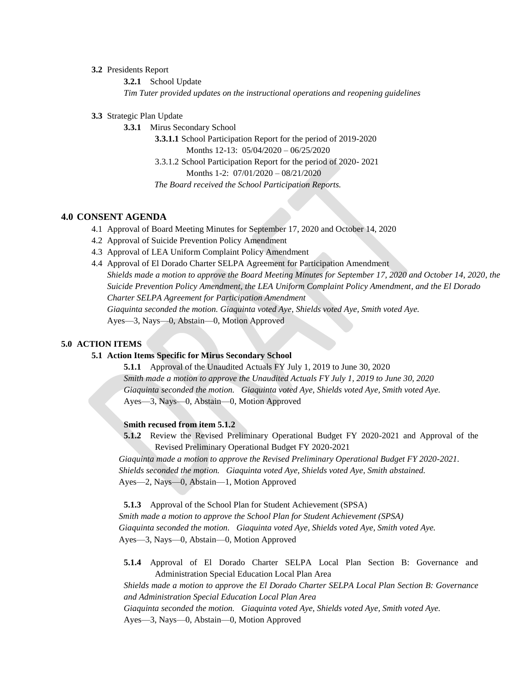#### **3.2** Presidents Report

**3.2.1** School Update *Tim Tuter provided updates on the instructional operations and reopening guidelines*

**3.3** Strategic Plan Update

**3.3.1** Mirus Secondary School

**3.3.1.1** School Participation Report for the period of 2019-2020 Months 12-13: 05/04/2020 – 06/25/2020 3.3.1.2 School Participation Report for the period of 2020- 2021 Months 1-2: 07/01/2020 – 08/21/2020  *The Board received the School Participation Reports.*

## **4.0 CONSENT AGENDA**

- 4.1 Approval of Board Meeting Minutes for September 17, 2020 and October 14, 2020
- 4.2 Approval of Suicide Prevention Policy Amendment
- 4.3 Approval of LEA Uniform Complaint Policy Amendment
- 4.4 Approval of El Dorado Charter SELPA Agreement for Participation Amendment *Shields made a motion to approve the Board Meeting Minutes for September 17, 2020 and October 14, 2020, the Suicide Prevention Policy Amendment, the LEA Uniform Complaint Policy Amendment, and the El Dorado Charter SELPA Agreement for Participation Amendment Giaquinta seconded the motion. Giaquinta voted Aye, Shields voted Aye, Smith voted Aye.* Ayes—3, Nays—0, Abstain—0, Motion Approved

**5.0 ACTION ITEMS** 

#### **5.1 Action Items Specific for Mirus Secondary School**

**5.1.1** Approval of the Unaudited Actuals FY July 1, 2019 to June 30, 2020 *Smith made a motion to approve the Unaudited Actuals FY July 1, 2019 to June 30, 2020 Giaquinta seconded the motion. Giaquinta voted Aye, Shields voted Aye, Smith voted Aye.* Ayes—3, Nays—0, Abstain—0, Motion Approved

#### **Smith recused from item 5.1.2**

**5.1.2** Review the Revised Preliminary Operational Budget FY 2020-2021 and Approval of the Revised Preliminary Operational Budget FY 2020-2021

*Giaquinta made a motion to approve the Revised Preliminary Operational Budget FY 2020-2021. Shields seconded the motion. Giaquinta voted Aye, Shields voted Aye, Smith abstained.* Ayes—2, Nays—0, Abstain—1, Motion Approved

**5.1.3** Approval of the School Plan for Student Achievement (SPSA) *Smith made a motion to approve the School Plan for Student Achievement (SPSA) Giaquinta seconded the motion. Giaquinta voted Aye, Shields voted Aye, Smith voted Aye.* Ayes—3, Nays—0, Abstain—0, Motion Approved

**5.1.4** Approval of El Dorado Charter SELPA Local Plan Section B: Governance and Administration Special Education Local Plan Area

*Shields made a motion to approve the El Dorado Charter SELPA Local Plan Section B: Governance and Administration Special Education Local Plan Area Giaquinta seconded the motion. Giaquinta voted Aye, Shields voted Aye, Smith voted Aye.*

Ayes—3, Nays—0, Abstain—0, Motion Approved